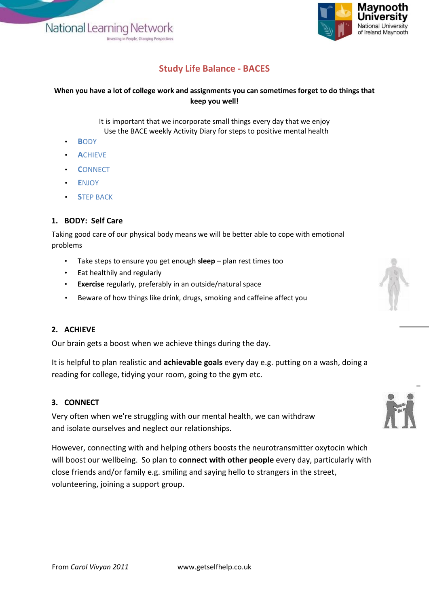National Learning Network no in People Ch



# **Study Life Balance - BACES**

### **When you have a lot of college work and assignments you can sometimes forget to do things that keep you well!**

It is important that we incorporate small things every day that we enjoy Use the BACE weekly Activity Diary for steps to positive mental health

- **B**ODY
- **A**CHIEVE
- **C**ONNECT
- **E**NJOY
- **STEP BACK**

## **1. BODY: Self Care**

Taking good care of our physical body means we will be better able to cope with emotional problems

- Take steps to ensure you get enough **sleep** plan rest times too
- Eat healthily and regularly
- **Exercise** regularly, preferably in an outside/natural space
- Beware of how things like drink, drugs, smoking and caffeine affect you

## **2. ACHIEVE**

Our brain gets a boost when we achieve things during the day.

It is helpful to plan realistic and **achievable goals** every day e.g. putting on a wash, doing a reading for college, tidying your room, going to the gym etc.

#### **3. CONNECT**

Very often when we're struggling with our mental health, we can withdraw and isolate ourselves and neglect our relationships.

However, connecting with and helping others boosts the neurotransmitter oxytocin which will boost our wellbeing. So plan to **connect with other people** every day, particularly with close friends and/or family e.g. smiling and saying hello to strangers in the street, volunteering, joining a support group.

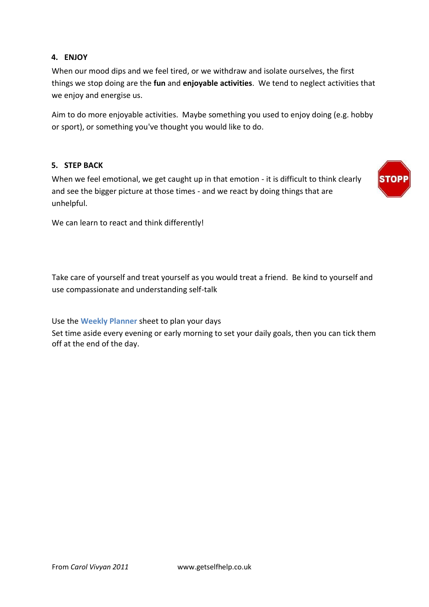## **4. ENJOY**

When our mood dips and we feel tired, or we withdraw and isolate ourselves, the first things we stop doing are the **fun** and **enjoyable activities**. We tend to neglect activities that we enjoy and energise us.

Aim to do more enjoyable activities. Maybe something you used to enjoy doing (e.g. hobby or sport), or something you've thought you would like to do.

#### **5. STEP BACK**

When we feel emotional, we get caught up in that emotion - it is difficult to think clearly and see the bigger picture at those times - and we react by doing things that are unhelpful.



We can learn to react and think differently!

Take care of yourself and treat yourself as you would treat a friend. Be kind to yourself and use compassionate and understanding self-talk

Use the **[Weekly Planner](http://www.getselfhelp.co.uk/docs/WeeklyPlanner.pdf)** sheet to plan your days

Set time aside every evening or early morning to set your daily goals, then you can tick them off at the end of the day.